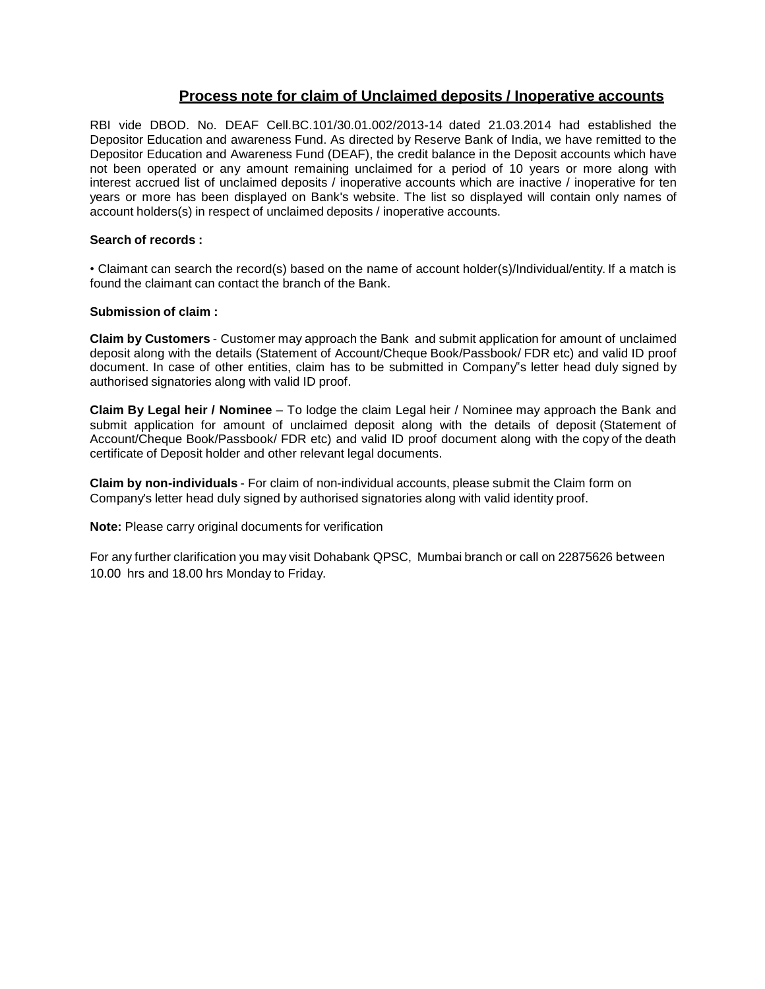# **Process note for claim of Unclaimed deposits / Inoperative accounts**

RBI vide DBOD. No. DEAF Cell.BC.101/30.01.002/2013-14 dated 21.03.2014 had established the Depositor Education and awareness Fund. As directed by Reserve Bank of India, we have remitted to the Depositor Education and Awareness Fund (DEAF), the credit balance in the Deposit accounts which have not been operated or any amount remaining unclaimed for a period of 10 years or more along with interest accrued list of unclaimed deposits / inoperative accounts which are inactive / inoperative for ten years or more has been displayed on Bank's website. The list so displayed will contain only names of account holders(s) in respect of unclaimed deposits / inoperative accounts.

## **Search of records :**

• Claimant can search the record(s) based on the name of account holder(s)/Individual/entity. If a match is found the claimant can contact the branch of the Bank.

### **Submission of claim :**

**Claim by Customers** - Customer may approach the Bank and submit application for amount of unclaimed deposit along with the details (Statement of Account/Cheque Book/Passbook/ FDR etc) and valid ID proof document. In case of other entities, claim has to be submitted in Company"s letter head duly signed by authorised signatories along with valid ID proof.

**Claim By Legal heir / Nominee** – To lodge the claim Legal heir / Nominee may approach the Bank and submit application for amount of unclaimed deposit along with the details of deposit (Statement of Account/Cheque Book/Passbook/ FDR etc) and valid ID proof document along with the copy of the death certificate of Deposit holder and other relevant legal documents.

**Claim by non-individuals** - For claim of non-individual accounts, please submit the Claim form on Company's letter head duly signed by authorised signatories along with valid identity proof.

**Note:** Please carry original documents for verification

For any further clarification you may visit Dohabank QPSC, Mumbai branch or call on 22875626 between 10.00 hrs and 18.00 hrs Monday to Friday.